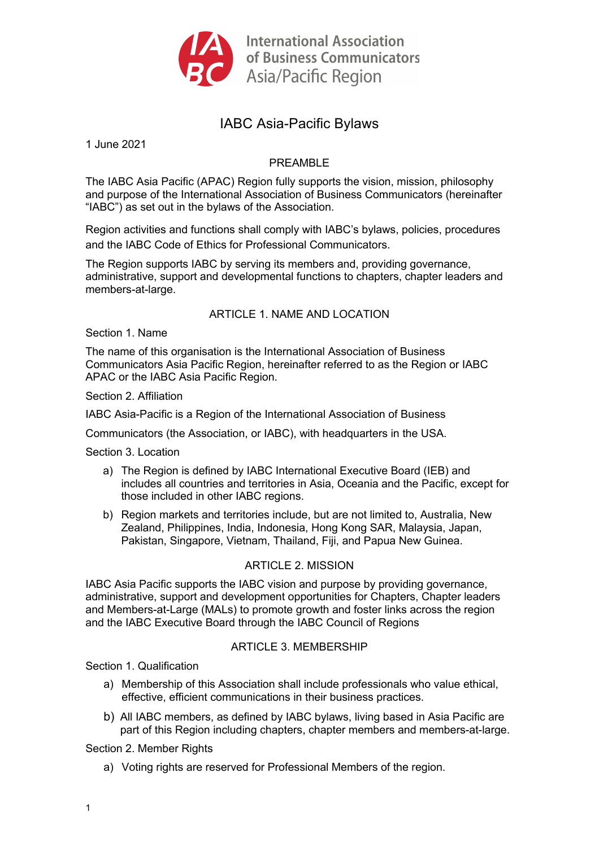

# IABC Asia-Pacific Bylaws

1 June 2021

# PREAMBLE

The IABC Asia Pacific (APAC) Region fully supports the vision, mission, philosophy and purpose of the International Association of Business Communicators (hereinafter "IABC") as set out in the bylaws of the Association.

Region activities and functions shall comply with IABC's bylaws, policies, procedures and the IABC Code of Ethics for Professional Communicators.

The Region supports IABC by serving its members and, providing governance, administrative, support and developmental functions to chapters, chapter leaders and members-at-large.

# ARTICLE 1. NAME AND LOCATION

Section 1. Name

The name of this organisation is the International Association of Business Communicators Asia Pacific Region, hereinafter referred to as the Region or IABC APAC or the IABC Asia Pacific Region.

Section 2. Affiliation

IABC Asia-Pacific is a Region of the International Association of Business

Communicators (the Association, or IABC), with headquarters in the USA.

Section 3. Location

- a) The Region is defined by IABC International Executive Board (IEB) and includes all countries and territories in Asia, Oceania and the Pacific, except for those included in other IABC regions.
- b) Region markets and territories include, but are not limited to, Australia, New Zealand, Philippines, India, Indonesia, Hong Kong SAR, Malaysia, Japan, Pakistan, Singapore, Vietnam, Thailand, Fiji, and Papua New Guinea.

# ARTICLE 2. MISSION

IABC Asia Pacific supports the IABC vision and purpose by providing governance, administrative, support and development opportunities for Chapters, Chapter leaders and Members-at-Large (MALs) to promote growth and foster links across the region and the IABC Executive Board through the IABC Council of Regions

# ARTICLE 3 MEMBERSHIP

Section 1. Qualification

- a) Membership of this Association shall include professionals who value ethical, effective, efficient communications in their business practices.
- b) All IABC members, as defined by IABC bylaws, living based in Asia Pacific are part of this Region including chapters, chapter members and members-at-large.

Section 2. Member Rights

a) Voting rights are reserved for Professional Members of the region.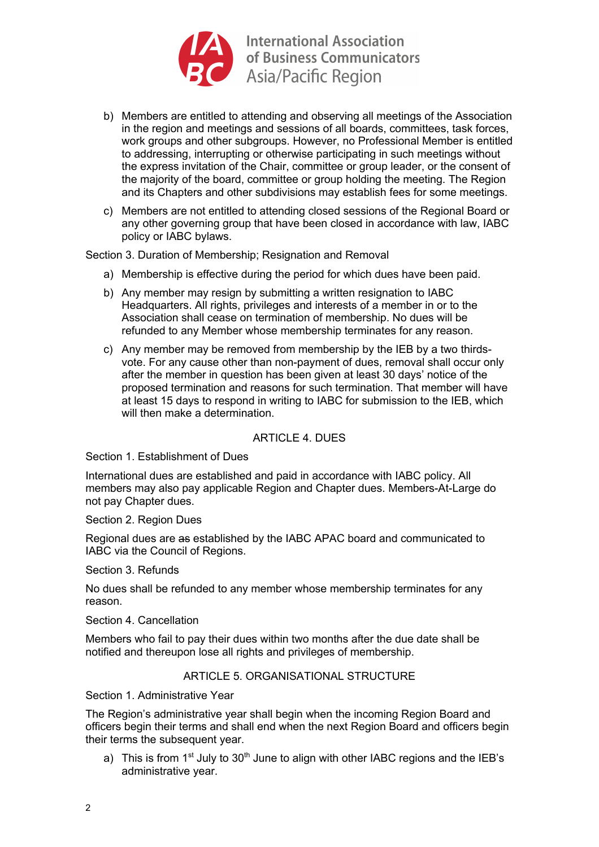

- b) Members are entitled to attending and observing all meetings of the Association in the region and meetings and sessions of all boards, committees, task forces, work groups and other subgroups. However, no Professional Member is entitled to addressing, interrupting or otherwise participating in such meetings without the express invitation of the Chair, committee or group leader, or the consent of the majority of the board, committee or group holding the meeting. The Region and its Chapters and other subdivisions may establish fees for some meetings.
- c) Members are not entitled to attending closed sessions of the Regional Board or any other governing group that have been closed in accordance with law, IABC policy or IABC bylaws.

Section 3. Duration of Membership; Resignation and Removal

- a) Membership is effective during the period for which dues have been paid.
- b) Any member may resign by submitting a written resignation to IABC Headquarters. All rights, privileges and interests of a member in or to the Association shall cease on termination of membership. No dues will be refunded to any Member whose membership terminates for any reason.
- c) Any member may be removed from membership by the IEB by a two thirdsvote. For any cause other than non-payment of dues, removal shall occur only after the member in question has been given at least 30 days' notice of the proposed termination and reasons for such termination. That member will have at least 15 days to respond in writing to IABC for submission to the IEB, which will then make a determination.

# ARTICLE 4. DUES

Section 1. Establishment of Dues

International dues are established and paid in accordance with IABC policy. All members may also pay applicable Region and Chapter dues. Members-At-Large do not pay Chapter dues.

Section 2. Region Dues

Regional dues are as established by the IABC APAC board and communicated to IABC via the Council of Regions.

Section 3. Refunds

No dues shall be refunded to any member whose membership terminates for any reason.

Section 4. Cancellation

Members who fail to pay their dues within two months after the due date shall be notified and thereupon lose all rights and privileges of membership.

# ARTICLE 5. ORGANISATIONAL STRUCTURE

Section 1. Administrative Year

The Region's administrative year shall begin when the incoming Region Board and officers begin their terms and shall end when the next Region Board and officers begin their terms the subsequent year.

a) This is from  $1<sup>st</sup>$  July to  $30<sup>th</sup>$  June to align with other IABC regions and the IEB's administrative year.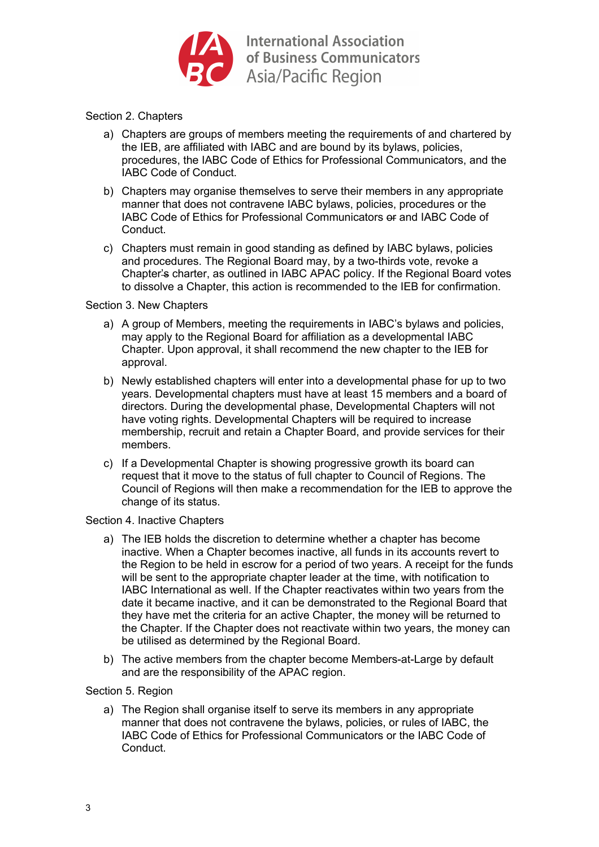

# Section 2. Chapters

- a) Chapters are groups of members meeting the requirements of and chartered by the IEB, are affiliated with IABC and are bound by its bylaws, policies, procedures, the IABC Code of Ethics for Professional Communicators, and the IABC Code of Conduct.
- b) Chapters may organise themselves to serve their members in any appropriate manner that does not contravene IABC bylaws, policies, procedures or the IABC Code of Ethics for Professional Communicators or and IABC Code of Conduct.
- c) Chapters must remain in good standing as defined by IABC bylaws, policies and procedures. The Regional Board may, by a two-thirds vote, revoke a Chapter's charter, as outlined in IABC APAC policy. If the Regional Board votes to dissolve a Chapter, this action is recommended to the IEB for confirmation.

#### Section 3. New Chapters

- a) A group of Members, meeting the requirements in IABC's bylaws and policies, may apply to the Regional Board for affiliation as a developmental IABC Chapter. Upon approval, it shall recommend the new chapter to the IEB for approval.
- b) Newly established chapters will enter into a developmental phase for up to two years. Developmental chapters must have at least 15 members and a board of directors. During the developmental phase, Developmental Chapters will not have voting rights. Developmental Chapters will be required to increase membership, recruit and retain a Chapter Board, and provide services for their members.
- c) If a Developmental Chapter is showing progressive growth its board can request that it move to the status of full chapter to Council of Regions. The Council of Regions will then make a recommendation for the IEB to approve the change of its status.

#### Section 4. Inactive Chapters

- a) The IEB holds the discretion to determine whether a chapter has become inactive. When a Chapter becomes inactive, all funds in its accounts revert to the Region to be held in escrow for a period of two years. A receipt for the funds will be sent to the appropriate chapter leader at the time, with notification to IABC International as well. If the Chapter reactivates within two years from the date it became inactive, and it can be demonstrated to the Regional Board that they have met the criteria for an active Chapter, the money will be returned to the Chapter. If the Chapter does not reactivate within two years, the money can be utilised as determined by the Regional Board.
- b) The active members from the chapter become Members-at-Large by default and are the responsibility of the APAC region.

# Section 5. Region

a) The Region shall organise itself to serve its members in any appropriate manner that does not contravene the bylaws, policies, or rules of IABC, the IABC Code of Ethics for Professional Communicators or the IABC Code of **Conduct**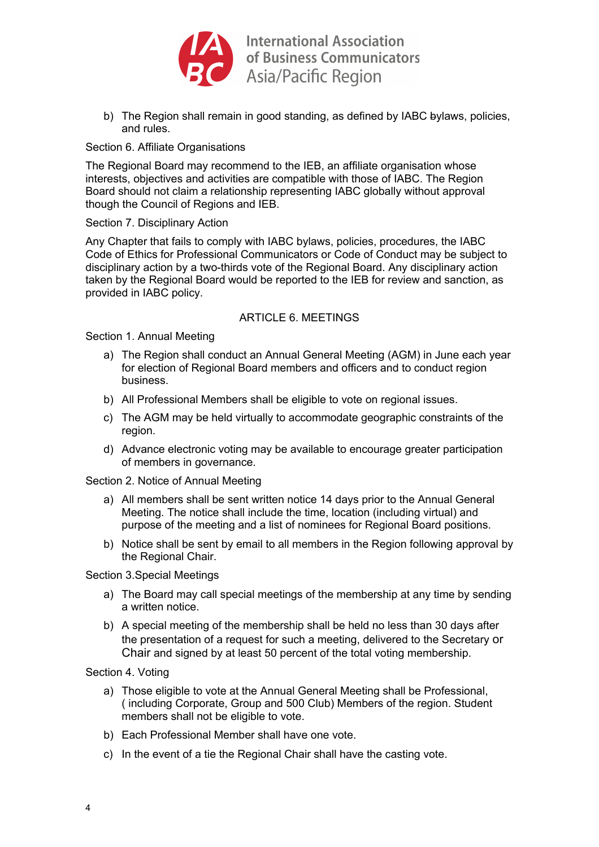

**International Association** of Business Communicators of Business Communia<br>Asia/Pacific Region

b) The Region shall remain in good standing, as defined by IABC bylaws, policies, and rules.

# Section 6. Affiliate Organisations

The Regional Board may recommend to the IEB, an affiliate organisation whose interests, objectives and activities are compatible with those of IABC. The Region Board should not claim a relationship representing IABC globally without approval though the Council of Regions and IEB.

# Section 7. Disciplinary Action

Any Chapter that fails to comply with IABC bylaws, policies, procedures, the IABC Code of Ethics for Professional Communicators or Code of Conduct may be subject to disciplinary action by a two-thirds vote of the Regional Board. Any disciplinary action taken by the Regional Board would be reported to the IEB for review and sanction, as provided in IABC policy.

# ARTICLE 6 MEETINGS

Section 1. Annual Meeting

- a) The Region shall conduct an Annual General Meeting (AGM) in June each year for election of Regional Board members and officers and to conduct region business.
- b) All Professional Members shall be eligible to vote on regional issues.
- c) The AGM may be held virtually to accommodate geographic constraints of the region.
- d) Advance electronic voting may be available to encourage greater participation of members in governance.

Section 2. Notice of Annual Meeting

- a) All members shall be sent written notice 14 days prior to the Annual General Meeting. The notice shall include the time, location (including virtual) and purpose of the meeting and a list of nominees for Regional Board positions.
- b) Notice shall be sent by email to all members in the Region following approval by the Regional Chair.

Section 3.Special Meetings

- a) The Board may call special meetings of the membership at any time by sending a written notice.
- b) A special meeting of the membership shall be held no less than 30 days after the presentation of a request for such a meeting, delivered to the Secretary or Chair and signed by at least 50 percent of the total voting membership.

Section 4. Voting

- a) Those eligible to vote at the Annual General Meeting shall be Professional, ( including Corporate, Group and 500 Club) Members of the region. Student members shall not be eligible to vote.
- b) Each Professional Member shall have one vote.
- c) In the event of a tie the Regional Chair shall have the casting vote.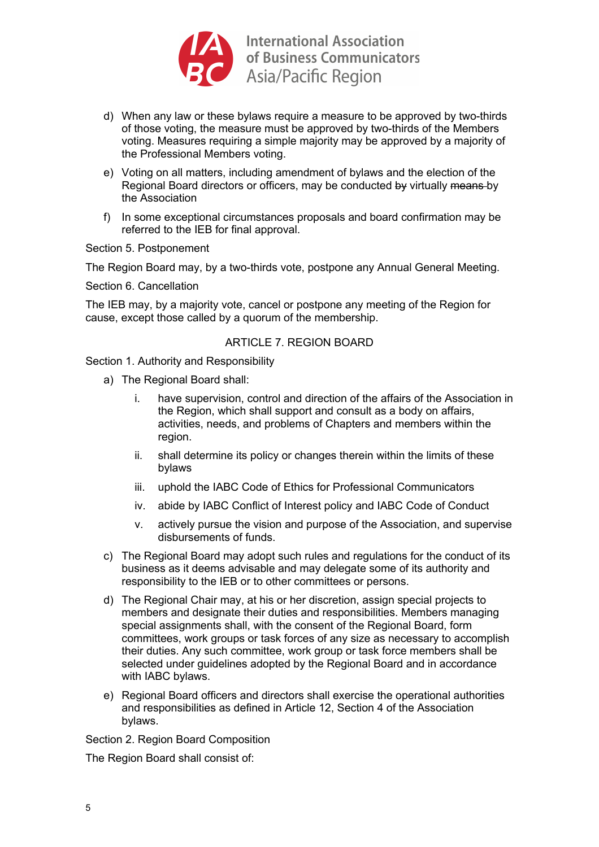

- d) When any law or these bylaws require a measure to be approved by two-thirds of those voting, the measure must be approved by two-thirds of the Members voting. Measures requiring a simple majority may be approved by a majority of the Professional Members voting.
- e) Voting on all matters, including amendment of bylaws and the election of the Regional Board directors or officers, may be conducted by virtually means by the Association
- f) In some exceptional circumstances proposals and board confirmation may be referred to the IEB for final approval.

Section 5. Postponement

The Region Board may, by a two-thirds vote, postpone any Annual General Meeting.

Section 6. Cancellation

The IEB may, by a majority vote, cancel or postpone any meeting of the Region for cause, except those called by a quorum of the membership.

#### ARTICLE 7. REGION BOARD

Section 1. Authority and Responsibility

- a) The Regional Board shall:
	- i. have supervision, control and direction of the affairs of the Association in the Region, which shall support and consult as a body on affairs, activities, needs, and problems of Chapters and members within the region.
	- ii. shall determine its policy or changes therein within the limits of these bylaws
	- iii. uphold the IABC Code of Ethics for Professional Communicators
	- iv. abide by IABC Conflict of Interest policy and IABC Code of Conduct
	- v. actively pursue the vision and purpose of the Association, and supervise disbursements of funds.
- c) The Regional Board may adopt such rules and regulations for the conduct of its business as it deems advisable and may delegate some of its authority and responsibility to the IEB or to other committees or persons.
- d) The Regional Chair may, at his or her discretion, assign special projects to members and designate their duties and responsibilities. Members managing special assignments shall, with the consent of the Regional Board, form committees, work groups or task forces of any size as necessary to accomplish their duties. Any such committee, work group or task force members shall be selected under guidelines adopted by the Regional Board and in accordance with IABC bylaws.
- e) Regional Board officers and directors shall exercise the operational authorities and responsibilities as defined in Article 12, Section 4 of the Association bylaws.

Section 2. Region Board Composition

The Region Board shall consist of: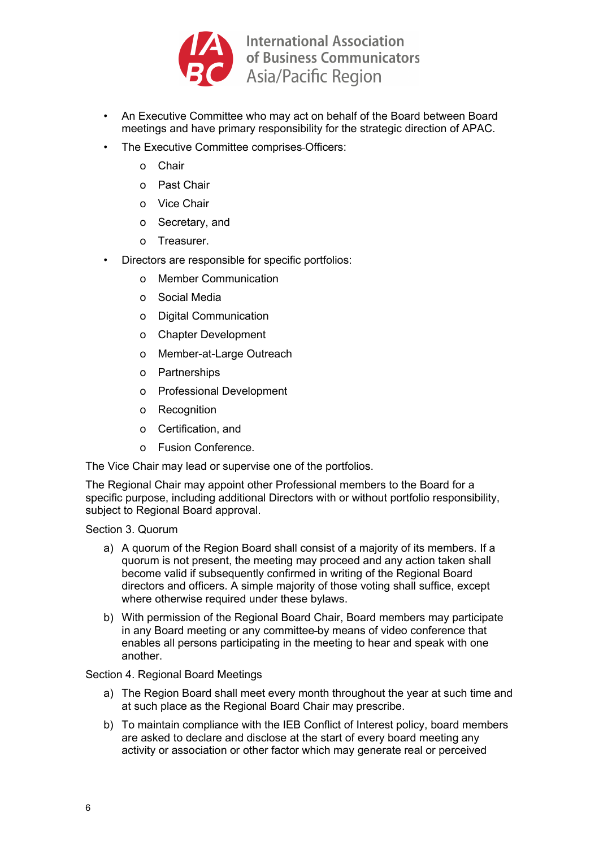

- An Executive Committee who may act on behalf of the Board between Board meetings and have primary responsibility for the strategic direction of APAC.
- The Executive Committee comprises Officers:
	- o Chair
	- o Past Chair
	- o Vice Chair
	- o Secretary, and
	- o Treasurer.
- Directors are responsible for specific portfolios:
	- o Member Communication
	- o Social Media
	- o Digital Communication
	- o Chapter Development
	- o Member-at-Large Outreach
	- o Partnerships
	- o Professional Development
	- o Recognition
	- o Certification, and
	- o Fusion Conference.

The Vice Chair may lead or supervise one of the portfolios.

The Regional Chair may appoint other Professional members to the Board for a specific purpose, including additional Directors with or without portfolio responsibility, subject to Regional Board approval.

Section 3. Quorum

- a) A quorum of the Region Board shall consist of a majority of its members. If a quorum is not present, the meeting may proceed and any action taken shall become valid if subsequently confirmed in writing of the Regional Board directors and officers. A simple majority of those voting shall suffice, except where otherwise required under these bylaws.
- b) With permission of the Regional Board Chair, Board members may participate in any Board meeting or any committee by means of video conference that enables all persons participating in the meeting to hear and speak with one another.

Section 4. Regional Board Meetings

- a) The Region Board shall meet every month throughout the year at such time and at such place as the Regional Board Chair may prescribe.
- b) To maintain compliance with the IEB Conflict of Interest policy, board members are asked to declare and disclose at the start of every board meeting any activity or association or other factor which may generate real or perceived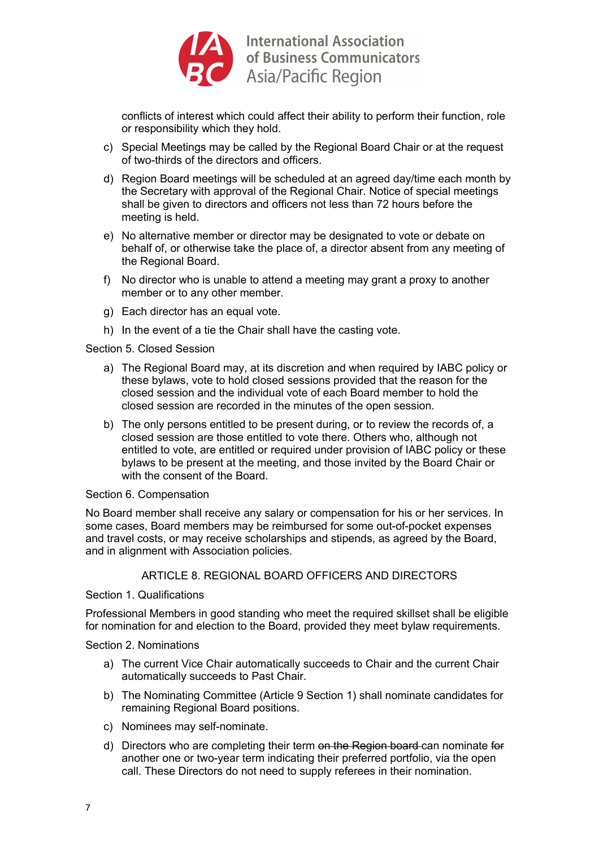

conflicts of interest which could affect their ability to perform their function, role or responsibility which they hold.

- c) Special Meetings may be called by the Regional Board Chair or at the request of two-thirds of the directors and officers.
- d) Region Board meetings will be scheduled at an agreed day/time each month by the Secretary with approval of the Regional Chair. Notice of special meetings shall be given to directors and officers not less than 72 hours before the meeting is held.
- e) No alternative member or director may be designated to vote or debate on behalf of, or otherwise take the place of, a director absent from any meeting of the Regional Board.
- f) No director who is unable to attend a meeting may grant a proxy to another member or to any other member.
- g) Each director has an equal vote.
- h) In the event of a tie the Chair shall have the casting vote.

Section 5. Closed Session

- a) The Regional Board may, at its discretion and when required by IABC policy or these bylaws, vote to hold closed sessions provided that the reason for the closed session and the individual vote of each Board member to hold the closed session are recorded in the minutes of the open session.
- b) The only persons entitled to be present during, or to review the records of, a closed session are those entitled to vote there. Others who, although not entitled to vote, are entitled or required under provision of IABC policy or these bylaws to be present at the meeting, and those invited by the Board Chair or with the consent of the Board.

#### Section 6. Compensation

No Board member shall receive any salary or compensation for his or her services. In some cases, Board members may be reimbursed for some out-of-pocket expenses and travel costs, or may receive scholarships and stipends, as agreed by the Board, and in alignment with Association policies.

# ARTICLE 8. REGIONAL BOARD OFFICERS AND DIRECTORS

#### Section 1. Qualifications

Professional Members in good standing who meet the required skillset shall be eligible for nomination for and election to the Board, provided they meet bylaw requirements.

Section 2. Nominations

- a) The current Vice Chair automatically succeeds to Chair and the current Chair automatically succeeds to Past Chair.
- b) The Nominating Committee (Article 9 Section 1) shall nominate candidates for remaining Regional Board positions.
- c) Nominees may self-nominate.
- d) Directors who are completing their term on the Region board can nominate for another one or two-year term indicating their preferred portfolio, via the open call. These Directors do not need to supply referees in their nomination.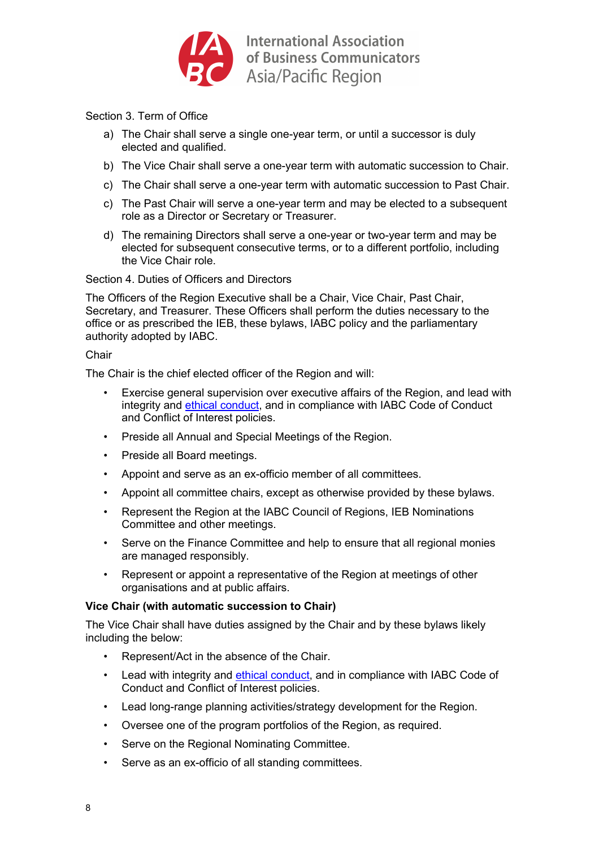

Section 3. Term of Office

- a) The Chair shall serve a single one-year term, or until a successor is duly elected and qualified.
- b) The Vice Chair shall serve a one-year term with automatic succession to Chair.
- c) The Chair shall serve a one-year term with automatic succession to Past Chair.
- c) The Past Chair will serve a one-year term and may be elected to a subsequent role as a Director or Secretary or Treasurer.
- d) The remaining Directors shall serve a one-year or two-year term and may be elected for subsequent consecutive terms, or to a different portfolio, including the Vice Chair role.

Section 4. Duties of Officers and Directors

The Officers of the Region Executive shall be a Chair, Vice Chair, Past Chair, Secretary, and Treasurer. These Officers shall perform the duties necessary to the office or as prescribed the IEB, these bylaws, IABC policy and the parliamentary authority adopted by IABC.

#### **Chair**

The Chair is the chief elected officer of the Region and will:

- Exercise general supervision over executive affairs of the Region, and lead with integrity and ethical conduct, and in compliance with IABC Code of Conduct and Conflict of Interest policies.
- Preside all Annual and Special Meetings of the Region.
- Preside all Board meetings.
- Appoint and serve as an ex-officio member of all committees.
- Appoint all committee chairs, except as otherwise provided by these bylaws.
- Represent the Region at the IABC Council of Regions, IEB Nominations Committee and other meetings.
- Serve on the Finance Committee and help to ensure that all regional monies are managed responsibly.
- Represent or appoint a representative of the Region at meetings of other organisations and at public affairs.

# **Vice Chair (with automatic succession to Chair)**

The Vice Chair shall have duties assigned by the Chair and by these bylaws likely including the below:

- Represent/Act in the absence of the Chair.
- Lead with integrity and ethical conduct, and in compliance with IABC Code of Conduct and Conflict of Interest policies.
- Lead long-range planning activities/strategy development for the Region.
- Oversee one of the program portfolios of the Region, as required.
- Serve on the Regional Nominating Committee.
- Serve as an ex-officio of all standing committees.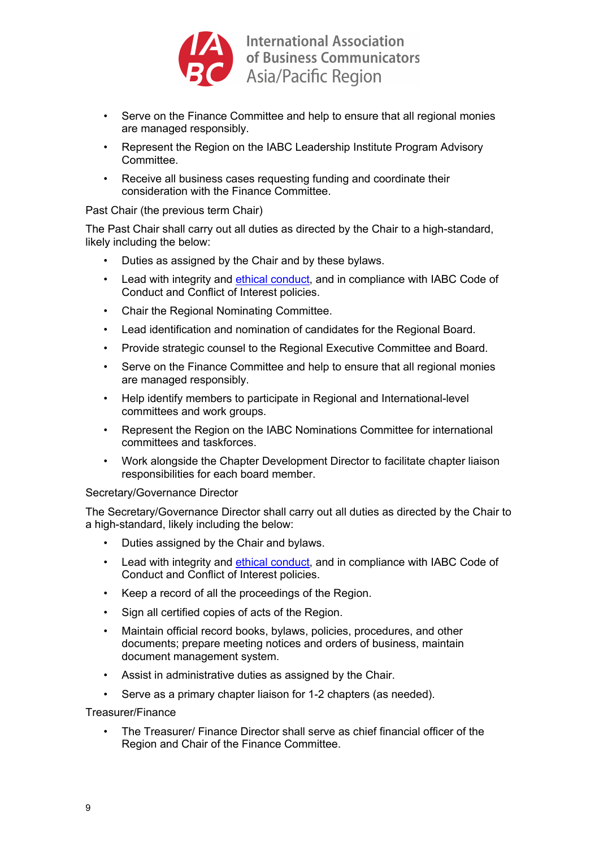

- Serve on the Finance Committee and help to ensure that all regional monies are managed responsibly.
- Represent the Region on the IABC Leadership Institute Program Advisory Committee.
- Receive all business cases requesting funding and coordinate their consideration with the Finance Committee.

# Past Chair (the previous term Chair)

The Past Chair shall carry out all duties as directed by the Chair to a high-standard, likely including the below:

- Duties as assigned by the Chair and by these bylaws.
- Lead with integrity and ethical conduct, and in compliance with IABC Code of Conduct and Conflict of Interest policies.
- Chair the Regional Nominating Committee.
- Lead identification and nomination of candidates for the Regional Board.
- Provide strategic counsel to the Regional Executive Committee and Board.
- Serve on the Finance Committee and help to ensure that all regional monies are managed responsibly.
- Help identify members to participate in Regional and International-level committees and work groups.
- Represent the Region on the IABC Nominations Committee for international committees and taskforces.
- Work alongside the Chapter Development Director to facilitate chapter liaison responsibilities for each board member.

# Secretary/Governance Director

The Secretary/Governance Director shall carry out all duties as directed by the Chair to a high-standard, likely including the below:

- Duties assigned by the Chair and bylaws.
- Lead with integrity and ethical conduct, and in compliance with IABC Code of Conduct and Conflict of Interest policies.
- Keep a record of all the proceedings of the Region.
- Sign all certified copies of acts of the Region.
- Maintain official record books, bylaws, policies, procedures, and other documents; prepare meeting notices and orders of business, maintain document management system.
- Assist in administrative duties as assigned by the Chair.
- Serve as a primary chapter liaison for 1-2 chapters (as needed).

Treasurer/Finance

• The Treasurer/ Finance Director shall serve as chief financial officer of the Region and Chair of the Finance Committee.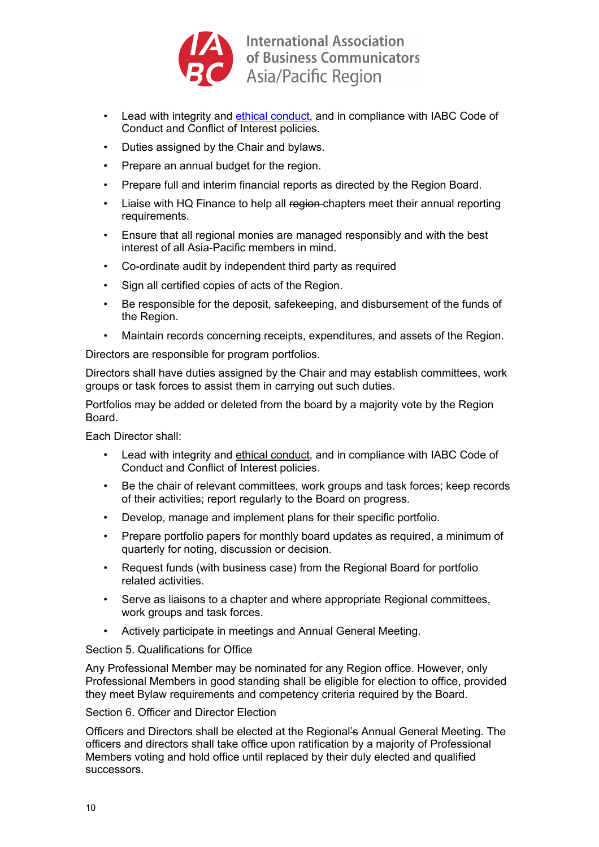

- Lead with integrity and ethical conduct, and in compliance with IABC Code of Conduct and Conflict of Interest policies.
- Duties assigned by the Chair and bylaws.
- Prepare an annual budget for the region.
- Prepare full and interim financial reports as directed by the Region Board.
- Liaise with HQ Finance to help all region-chapters meet their annual reporting requirements.
- Ensure that all regional monies are managed responsibly and with the best interest of all Asia-Pacific members in mind.
- Co-ordinate audit by independent third party as required
- Sign all certified copies of acts of the Region.
- Be responsible for the deposit, safekeeping, and disbursement of the funds of the Region.
- Maintain records concerning receipts, expenditures, and assets of the Region.

Directors are responsible for program portfolios.

Directors shall have duties assigned by the Chair and may establish committees, work groups or task forces to assist them in carrying out such duties.

Portfolios may be added or deleted from the board by a majority vote by the Region Board.

Each Director shall:

- Lead with integrity and ethical conduct, and in compliance with IABC Code of Conduct and Conflict of Interest policies.
- Be the chair of relevant committees, work groups and task forces; keep records of their activities; report regularly to the Board on progress.
- Develop, manage and implement plans for their specific portfolio.
- Prepare portfolio papers for monthly board updates as required, a minimum of quarterly for noting, discussion or decision.
- Request funds (with business case) from the Regional Board for portfolio related activities.
- Serve as liaisons to a chapter and where appropriate Regional committees, work groups and task forces.
- Actively participate in meetings and Annual General Meeting.

Section 5. Qualifications for Office

Any Professional Member may be nominated for any Region office. However, only Professional Members in good standing shall be eligible for election to office, provided they meet Bylaw requirements and competency criteria required by the Board.

Section 6. Officer and Director Election

Officers and Directors shall be elected at the Regional's Annual General Meeting. The officers and directors shall take office upon ratification by a majority of Professional Members voting and hold office until replaced by their duly elected and qualified successors.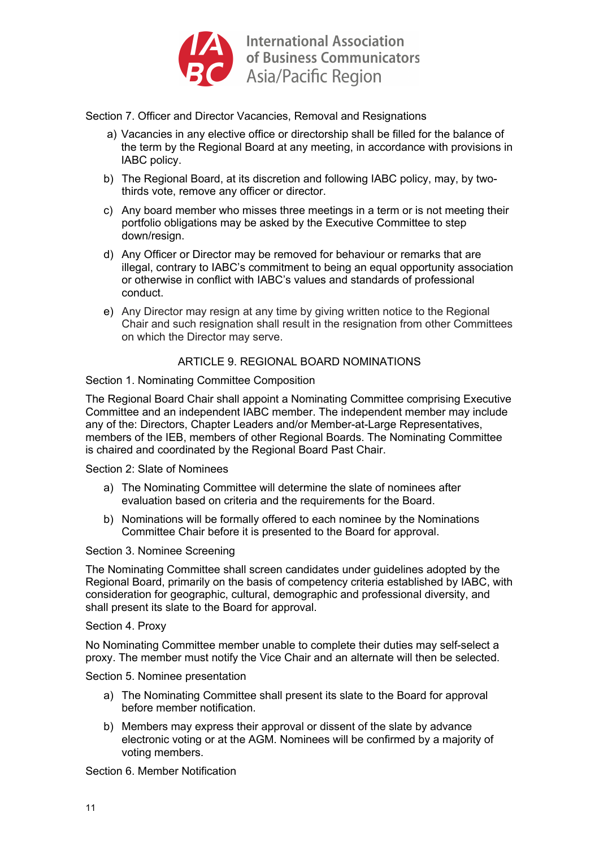

Section 7. Officer and Director Vacancies, Removal and Resignations

- a) Vacancies in any elective office or directorship shall be filled for the balance of the term by the Regional Board at any meeting, in accordance with provisions in IABC policy.
- b) The Regional Board, at its discretion and following IABC policy, may, by twothirds vote, remove any officer or director.
- c) Any board member who misses three meetings in a term or is not meeting their portfolio obligations may be asked by the Executive Committee to step down/resign.
- d) Any Officer or Director may be removed for behaviour or remarks that are illegal, contrary to IABC's commitment to being an equal opportunity association or otherwise in conflict with IABC's values and standards of professional conduct.
- e) Any Director may resign at any time by giving written notice to the Regional Chair and such resignation shall result in the resignation from other Committees on which the Director may serve.

# ARTICLE 9. REGIONAL BOARD NOMINATIONS

# Section 1. Nominating Committee Composition

The Regional Board Chair shall appoint a Nominating Committee comprising Executive Committee and an independent IABC member. The independent member may include any of the: Directors, Chapter Leaders and/or Member-at-Large Representatives, members of the IEB, members of other Regional Boards. The Nominating Committee is chaired and coordinated by the Regional Board Past Chair.

Section 2: Slate of Nominees

- a) The Nominating Committee will determine the slate of nominees after evaluation based on criteria and the requirements for the Board.
- b) Nominations will be formally offered to each nominee by the Nominations Committee Chair before it is presented to the Board for approval.

#### Section 3. Nominee Screening

The Nominating Committee shall screen candidates under guidelines adopted by the Regional Board, primarily on the basis of competency criteria established by IABC, with consideration for geographic, cultural, demographic and professional diversity, and shall present its slate to the Board for approval.

#### Section 4. Proxy

No Nominating Committee member unable to complete their duties may self-select a proxy. The member must notify the Vice Chair and an alternate will then be selected.

Section 5. Nominee presentation

- a) The Nominating Committee shall present its slate to the Board for approval before member notification.
- b) Members may express their approval or dissent of the slate by advance electronic voting or at the AGM. Nominees will be confirmed by a majority of voting members.

Section 6. Member Notification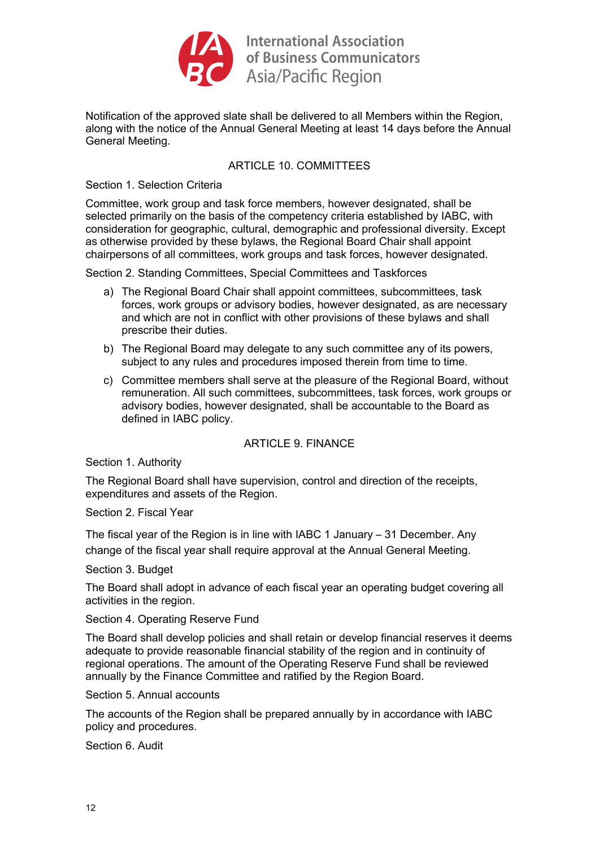

Notification of the approved slate shall be delivered to all Members within the Region, along with the notice of the Annual General Meeting at least 14 days before the Annual General Meeting.

# ARTICLE 10. COMMITTEES

Section 1. Selection Criteria

Committee, work group and task force members, however designated, shall be selected primarily on the basis of the competency criteria established by IABC, with consideration for geographic, cultural, demographic and professional diversity. Except as otherwise provided by these bylaws, the Regional Board Chair shall appoint chairpersons of all committees, work groups and task forces, however designated.

Section 2. Standing Committees, Special Committees and Taskforces

- a) The Regional Board Chair shall appoint committees, subcommittees, task forces, work groups or advisory bodies, however designated, as are necessary and which are not in conflict with other provisions of these bylaws and shall prescribe their duties.
- b) The Regional Board may delegate to any such committee any of its powers, subject to any rules and procedures imposed therein from time to time.
- c) Committee members shall serve at the pleasure of the Regional Board, without remuneration. All such committees, subcommittees, task forces, work groups or advisory bodies, however designated, shall be accountable to the Board as defined in IABC policy.

# ARTICLE 9. FINANCE

Section 1. Authority

The Regional Board shall have supervision, control and direction of the receipts, expenditures and assets of the Region.

Section 2. Fiscal Year

The fiscal year of the Region is in line with IABC 1 January  $-31$  December. Any change of the fiscal year shall require approval at the Annual General Meeting.

Section 3. Budget

The Board shall adopt in advance of each fiscal year an operating budget covering all activities in the region.

Section 4. Operating Reserve Fund

The Board shall develop policies and shall retain or develop financial reserves it deems adequate to provide reasonable financial stability of the region and in continuity of regional operations. The amount of the Operating Reserve Fund shall be reviewed annually by the Finance Committee and ratified by the Region Board.

Section 5. Annual accounts

The accounts of the Region shall be prepared annually by in accordance with IABC policy and procedures.

Section 6. Audit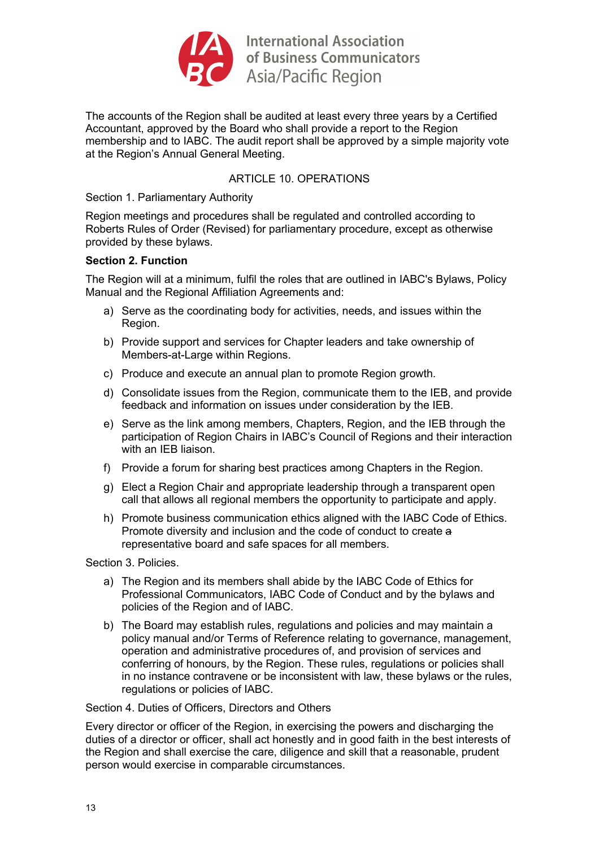

The accounts of the Region shall be audited at least every three years by a Certified Accountant, approved by the Board who shall provide a report to the Region membership and to IABC. The audit report shall be approved by a simple majority vote at the Region's Annual General Meeting.

# ARTICLE 10. OPERATIONS

Section 1. Parliamentary Authority

Region meetings and procedures shall be regulated and controlled according to Roberts Rules of Order (Revised) for parliamentary procedure, except as otherwise provided by these bylaws.

# **Section 2. Function**

The Region will at a minimum, fulfil the roles that are outlined in IABC's Bylaws, Policy Manual and the Regional Affiliation Agreements and:

- a) Serve as the coordinating body for activities, needs, and issues within the Region.
- b) Provide support and services for Chapter leaders and take ownership of Members-at-Large within Regions.
- c) Produce and execute an annual plan to promote Region growth.
- d) Consolidate issues from the Region, communicate them to the IEB, and provide feedback and information on issues under consideration by the IEB.
- e) Serve as the link among members, Chapters, Region, and the IEB through the participation of Region Chairs in IABC's Council of Regions and their interaction with an IFB liaison
- f) Provide a forum for sharing best practices among Chapters in the Region.
- g) Elect a Region Chair and appropriate leadership through a transparent open call that allows all regional members the opportunity to participate and apply.
- h) Promote business communication ethics aligned with the IABC Code of Ethics. Promote diversity and inclusion and the code of conduct to create a representative board and safe spaces for all members.

Section 3. Policies.

- a) The Region and its members shall abide by the IABC Code of Ethics for Professional Communicators, IABC Code of Conduct and by the bylaws and policies of the Region and of IABC.
- b) The Board may establish rules, regulations and policies and may maintain a policy manual and/or Terms of Reference relating to governance, management, operation and administrative procedures of, and provision of services and conferring of honours, by the Region. These rules, regulations or policies shall in no instance contravene or be inconsistent with law, these bylaws or the rules, regulations or policies of IABC.

# Section 4. Duties of Officers, Directors and Others

Every director or officer of the Region, in exercising the powers and discharging the duties of a director or officer, shall act honestly and in good faith in the best interests of the Region and shall exercise the care, diligence and skill that a reasonable, prudent person would exercise in comparable circumstances.